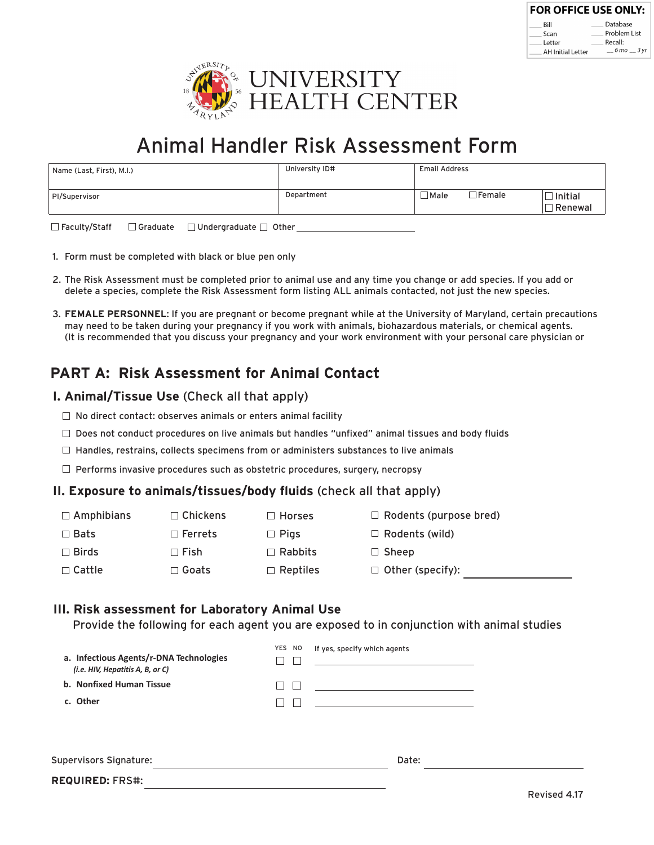| <b>FOR OFFICE USE ONLY:</b> |                               |
|-----------------------------|-------------------------------|
| Rill                        | Database                      |
| Scan                        | Problem List                  |
| Letter                      | Recall:                       |
| <b>AH Initial Letter</b>    | $6 \text{ mo}$ $3 \text{ vr}$ |



# Animal Handler Risk Assessment Form

| Name (Last, First), M.I.) | University ID# | <b>Email Address</b>                |                        |
|---------------------------|----------------|-------------------------------------|------------------------|
| PI/Supervisor             | Department     | $\Box$ Female $\Box$<br>$\Box$ Male | ] Initial<br>∃ Renewal |

□Faculty/Staff □Graduate □Undergraduate □ Other □

- 1. Form must be completed with black or blue pen only
- 2. The Risk Assessment must be completed prior to animal use and any time you change or add species. If you add or delete a species, complete the Risk Assessment form listing ALL animals contacted, not just the new species.
- **FEMALE PERSONNEL**: If you are pregnant or become pregnant while at the University of Maryland, certain precautions 3. may need to be taken during your pregnancy if you work with animals, biohazardous materials, or chemical agents. (It is recommended that you discuss your pregnancy and your work environment with your personal care physician or

# **PART A: Risk Assessment for Animal Contact**

#### **I. Animal/Tissue Use** (Check all that apply)

- $\Box$  No direct contact: observes animals or enters animal facility
- $\square$  Does not conduct procedures on live animals but handles "unfixed" animal tissues and body fluids
- $\Box$  Handles, restrains, collects specimens from or administers substances to live animals
- $\Box$  Performs invasive procedures such as obstetric procedures, surgery, necropsy

#### **II. Exposure to animals/tissues/body fluids** (check all that apply)

| $\Box$ Amphibians | $\Box$ Chickens | $\Box$ Horses   | $\Box$ Rodents (purpose bred) |
|-------------------|-----------------|-----------------|-------------------------------|
| $\square$ Bats    | $\Box$ Ferrets  | $\Box$ Pigs     | $\Box$ Rodents (wild)         |
| $\Box$ Birds      | $\sqcap$ Fish   | $\Box$ Rabbits  | $\Box$ Sheep                  |
| $\Box$ Cattle     | $\Box$ Goats:   | $\Box$ Reptiles | $\Box$ Other (specify):       |
|                   |                 |                 |                               |

#### **III. Risk assessment for Laboratory Animal Use**

Provide the following for each agent you are exposed to in conjunction with animal studies

| a. Infectious Agents/r-DNA Technologies<br>(i.e. HIV, Hepatitis A, B, or C) | YES NO       | If yes, specify which agents                                                                                    |  |
|-----------------------------------------------------------------------------|--------------|-----------------------------------------------------------------------------------------------------------------|--|
| b. Nonfixed Human Tissue                                                    | $\mathsf{I}$ | the control of the control of the control of the control of the control of the control of                       |  |
| c. Other                                                                    |              | the contract of the contract of the contract of the contract of the contract of the contract of the contract of |  |
|                                                                             |              |                                                                                                                 |  |
|                                                                             |              |                                                                                                                 |  |
|                                                                             |              |                                                                                                                 |  |

Supervisors Signature: Date: Date: Date: Date: Date: Date: Date: Date: Date: Date: Date: Date: Date: Date: Date: Date: Date: Date: Date: Date: Date: Date: Date: Date: Date: Date: Date: Date: Date: Date: Date: Date: Date: D

**REQUIRED:** FRS#: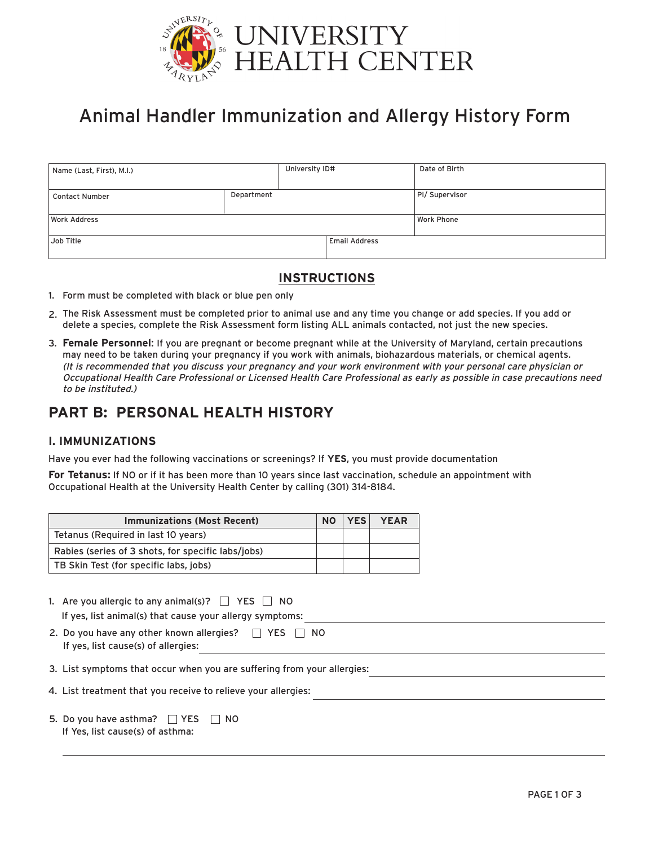

# Animal Handler Immunization and Allergy History Form

| Name (Last, First), M.I.) |            | University ID# |                      | Date of Birth     |
|---------------------------|------------|----------------|----------------------|-------------------|
| <b>Contact Number</b>     | Department |                |                      | PI/ Supervisor    |
| <b>Work Address</b>       |            |                |                      | <b>Work Phone</b> |
| Job Title                 |            |                | <b>Email Address</b> |                   |

### **INSTRUCTIONS**

- 1. Form must be completed with black or blue pen only
- 2. The Risk Assessment must be completed prior to animal use and any time you change or add species. If you add or delete a species, complete the Risk Assessment form listing ALL animals contacted, not just the new species.
- **Female Personnel**: If you are pregnant or become pregnant while at the University of Maryland, certain precautions 3. may need to be taken during your pregnancy if you work with animals, biohazardous materials, or chemical agents. (It is recommended that you discuss your pregnancy and your work environment with your personal care physician or Occupational Health Care Professional or Licensed Health Care Professional as early as possible in case precautions need to be instituted.)

## **PART B: PERSONAL HEALTH HISTORY**

#### **I. IMMUNIZATIONS**

Have you ever had the following vaccinations or screenings? If **YES**, you must provide documentation

**For Tetanus:** If NO or if it has been more than 10 years since last vaccination, schedule an appointment with Occupational Health at the University Health Center by calling (301) 314-8184.

| <b>Immunizations (Most Recent)</b>                 | <b>NO</b> | <b>YES</b> | <b>YEAR</b> |
|----------------------------------------------------|-----------|------------|-------------|
| Tetanus (Required in last 10 years)                |           |            |             |
| Rabies (series of 3 shots, for specific labs/jobs) |           |            |             |
| TB Skin Test (for specific labs, jobs)             |           |            |             |

| 1. Are you allergic to any animal(s)? $\Box$ YES $\Box$ NO |
|------------------------------------------------------------|
| If yes, list animal(s) that cause your allergy symptoms:   |

- 2. Do you have any other known allergies?  $\Box$  YES  $\Box$  NO If yes, list cause(s) of allergies:
- 3. List symptoms that occur when you are suffering from your allergies:
- 4. List treatment that you receive to relieve your allergies:
- 5. Do you have asthma?  $\Box$  YES  $\Box$  NO If Yes, list cause(s) of asthma: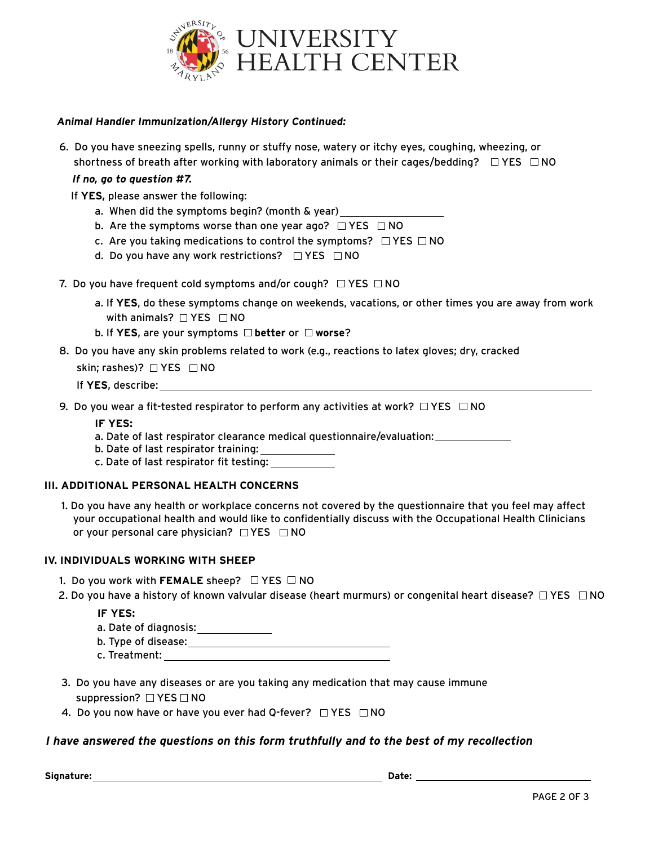

#### **Animal Handler Immunization/Allergy History Continued:**

6. Do you have sneezing spells, runny or stuffy nose, watery or itchy eyes, coughing, wheezing, or shortness of breath after working with laboratory animals or their cages/bedding?  $\Box$  YES  $\Box$  NO

#### **If no, go to question #7.**

- If **YES,** please answer the following:
	- a. When did the symptoms begin? (month & year)
	- b. Are the symptoms worse than one year ago?  $\Box$  YES  $\Box$  NO
	- c. Are you taking medications to control the symptoms?  $\Box$  YES  $\Box$  NO
	- d. Do you have any work restrictions?  $\Box$  YES  $\Box$  NO
- 7. Do you have frequent cold symptoms and/or cough?  $\Box$  YES  $\Box$  NO
	- a. If **YES**, do these symptoms change on weekends, vacations, or other times you are away from work with animals?  $\Box$  YES  $\Box$  NO
	- **b.** If **YES**, are your symptoms □ **better** or □ worse?
- 8. Do you have any skin problems related to work (e.g., reactions to latex gloves; dry, cracked

skin; rashes)?  $\Box$  YES  $\Box$  NO

- If **YES**, describe:
- 9. Do you wear a fit-tested respirator to perform any activities at work?  $\Box$  YES  $\Box$  NO

**IF YES:**

- a. Date of last respirator clearance medical questionnaire/evaluation:
- b. Date of last respirator training:
- c. Date of last respirator fit testing:

#### **III. ADDITIONAL PERSONAL HEALTH CONCERNS**

1. Do you have any health or workplace concerns not covered by the questionnaire that you feel may affect your occupational health and would like to confidentially discuss with the Occupational Health Clinicians or your personal care physician?  $\Box$  YES  $\Box$  NO

#### **IV. INDIVIDUALS WORKING WITH SHEEP**

- 1. Do you work with **FEMALE** sheep?  $\Box$  YES  $\Box$  NO
- 2. Do you have a history of known valvular disease (heart murmurs) or congenital heart disease?  $\Box$  YES  $\Box$  NO

#### **IF YES:**

a. Date of diagnosis:

- b. Type of disease:
- c. Treatment:
- 3. Do you have any diseases or are you taking any medication that may cause immune suppression?  $\Box$  YES  $\Box$  NO
- 4. Do you now have or have you ever had Q-fever?  $\Box$  YES  $\Box$  NO

#### **I have answered the questions on this form truthfully and to the best of my recollection**

 **Signature: Date:**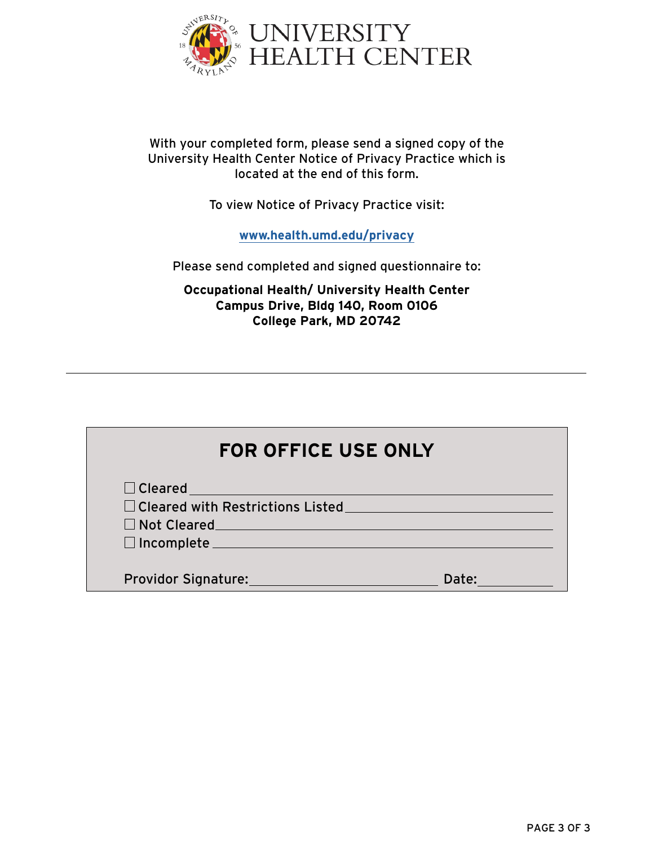

## With your completed form, please send a signed copy of the University Health Center Notice of Privacy Practice which is located at the end of this form.

To view Notice of Privacy Practice visit:

**www.health.umd.edu/privacy**

Please send completed and signed questionnaire to:

**Occupational Health/ University Health Center Campus Drive, Bldg 140, Room 0106 College Park, MD 20742**

| <b>FOR OFFICE USE ONLY</b>                                                                                                                                                                                                     |
|--------------------------------------------------------------------------------------------------------------------------------------------------------------------------------------------------------------------------------|
| $\Box$ Cleared                                                                                                                                                                                                                 |
| $\Box$ Cleared with Restrictions Listed                                                                                                                                                                                        |
| Not Cleared Manual Property of the Second Second Second Second Second Second Second Second Second Second Second Second Second Second Second Second Second Second Second Second Second Second Second Second Second Second Secon |
| □ Incomplete                                                                                                                                                                                                                   |
|                                                                                                                                                                                                                                |
| Providor Signature:<br>Date:                                                                                                                                                                                                   |